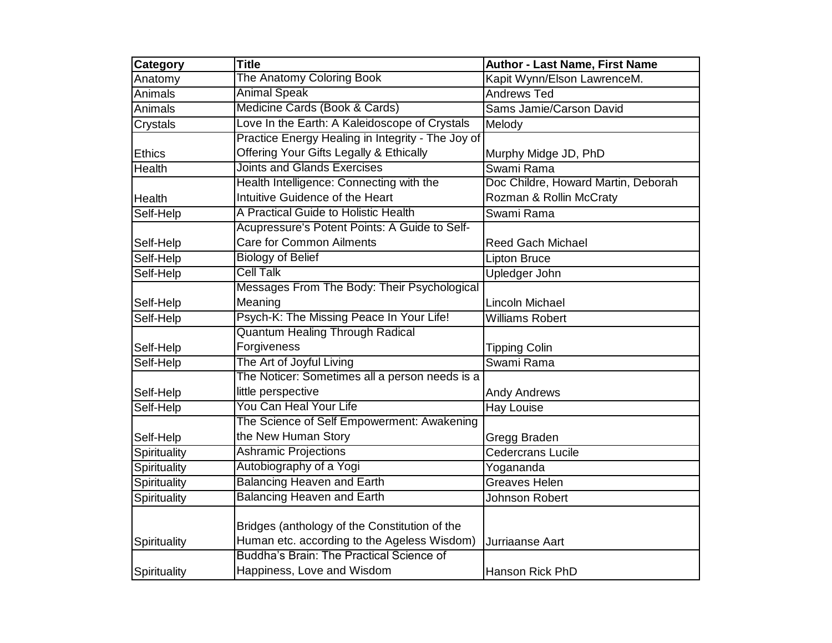| Category      | <b>Title</b>                                      | <b>Author - Last Name, First Name</b> |
|---------------|---------------------------------------------------|---------------------------------------|
| Anatomy       | The Anatomy Coloring Book                         | Kapit Wynn/Elson LawrenceM.           |
| Animals       | <b>Animal Speak</b>                               | <b>Andrews Ted</b>                    |
| Animals       | Medicine Cards (Book & Cards)                     | Sams Jamie/Carson David               |
| Crystals      | Love In the Earth: A Kaleidoscope of Crystals     | Melody                                |
|               | Practice Energy Healing in Integrity - The Joy of |                                       |
| <b>Ethics</b> | Offering Your Gifts Legally & Ethically           | Murphy Midge JD, PhD                  |
| <b>Health</b> | <b>Joints and Glands Exercises</b>                | Swami Rama                            |
|               | Health Intelligence: Connecting with the          | Doc Childre, Howard Martin, Deborah   |
| <b>Health</b> | Intuitive Guidence of the Heart                   | Rozman & Rollin McCraty               |
| Self-Help     | A Practical Guide to Holistic Health              | Swami Rama                            |
|               | Acupressure's Potent Points: A Guide to Self-     |                                       |
| Self-Help     | <b>Care for Common Ailments</b>                   | <b>Reed Gach Michael</b>              |
| Self-Help     | <b>Biology of Belief</b>                          | Lipton Bruce                          |
| Self-Help     | <b>Cell Talk</b>                                  | <b>Upledger John</b>                  |
|               | Messages From The Body: Their Psychological       |                                       |
| Self-Help     | Meaning                                           | <b>Lincoln Michael</b>                |
| Self-Help     | Psych-K: The Missing Peace In Your Life!          | <b>Williams Robert</b>                |
|               | <b>Quantum Healing Through Radical</b>            |                                       |
| Self-Help     | Forgiveness                                       | <b>Tipping Colin</b>                  |
| Self-Help     | The Art of Joyful Living                          | Swami Rama                            |
|               | The Noticer: Sometimes all a person needs is a    |                                       |
| Self-Help     | little perspective                                | <b>Andy Andrews</b>                   |
| Self-Help     | You Can Heal Your Life                            | Hay Louise                            |
|               | The Science of Self Empowerment: Awakening        |                                       |
| Self-Help     | the New Human Story                               | Gregg Braden                          |
| Spirituality  | <b>Ashramic Projections</b>                       | <b>Cedercrans Lucile</b>              |
| Spirituality  | Autobiography of a Yogi                           | Yogananda                             |
| Spirituality  | <b>Balancing Heaven and Earth</b>                 | <b>Greaves Helen</b>                  |
| Spirituality  | <b>Balancing Heaven and Earth</b>                 | Johnson Robert                        |
|               |                                                   |                                       |
|               | Bridges (anthology of the Constitution of the     |                                       |
| Spirituality  | Human etc. according to the Ageless Wisdom)       | Jurriaanse Aart                       |
|               | Buddha's Brain: The Practical Science of          |                                       |
| Spirituality  | Happiness, Love and Wisdom                        | <b>Hanson Rick PhD</b>                |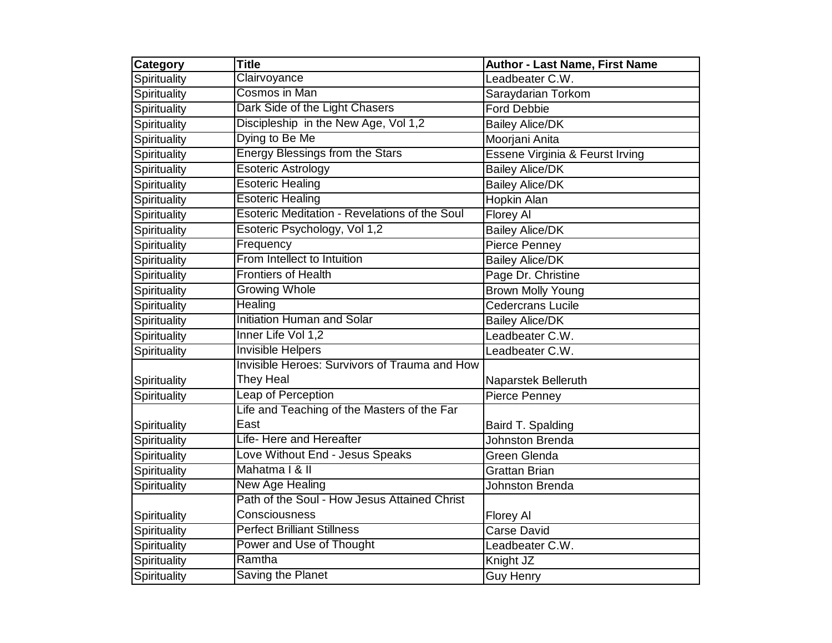| Category     | <b>Title</b>                                         | Author - Last Name, First Name  |
|--------------|------------------------------------------------------|---------------------------------|
| Spirituality | Clairvoyance                                         | Leadbeater C.W.                 |
| Spirituality | Cosmos in Man                                        | Saraydarian Torkom              |
| Spirituality | Dark Side of the Light Chasers                       | <b>Ford Debbie</b>              |
| Spirituality | Discipleship in the New Age, Vol 1,2                 | <b>Bailey Alice/DK</b>          |
| Spirituality | Dying to Be Me                                       | Moorjani Anita                  |
| Spirituality | <b>Energy Blessings from the Stars</b>               | Essene Virginia & Feurst Irving |
| Spirituality | <b>Esoteric Astrology</b>                            | <b>Bailey Alice/DK</b>          |
| Spirituality | <b>Esoteric Healing</b>                              | <b>Bailey Alice/DK</b>          |
| Spirituality | <b>Esoteric Healing</b>                              | Hopkin Alan                     |
| Spirituality | <b>Esoteric Meditation - Revelations of the Soul</b> | Florey Al                       |
| Spirituality | Esoteric Psychology, Vol 1,2                         | <b>Bailey Alice/DK</b>          |
| Spirituality | Frequency                                            | Pierce Penney                   |
| Spirituality | From Intellect to Intuition                          | <b>Bailey Alice/DK</b>          |
| Spirituality | <b>Frontiers of Health</b>                           | Page Dr. Christine              |
| Spirituality | <b>Growing Whole</b>                                 | <b>Brown Molly Young</b>        |
| Spirituality | <b>Healing</b>                                       | <b>Cedercrans Lucile</b>        |
| Spirituality | <b>Initiation Human and Solar</b>                    | <b>Bailey Alice/DK</b>          |
| Spirituality | Inner Life Vol 1,2                                   | Leadbeater C.W.                 |
| Spirituality | <b>Invisible Helpers</b>                             | Leadbeater C.W.                 |
|              | Invisible Heroes: Survivors of Trauma and How        |                                 |
| Spirituality | They Heal                                            | Naparstek Belleruth             |
| Spirituality | Leap of Perception                                   | Pierce Penney                   |
|              | Life and Teaching of the Masters of the Far          |                                 |
| Spirituality | East                                                 | Baird T. Spalding               |
| Spirituality | Life-Here and Hereafter                              | <b>Johnston Brenda</b>          |
| Spirituality | Love Without End - Jesus Speaks                      | Green Glenda                    |
| Spirituality | Mahatma   & II                                       | <b>Grattan Brian</b>            |
| Spirituality | New Age Healing                                      | <b>Johnston Brenda</b>          |
|              | Path of the Soul - How Jesus Attained Christ         |                                 |
| Spirituality | Consciousness                                        | Florey Al                       |
| Spirituality | <b>Perfect Brilliant Stillness</b>                   | <b>Carse David</b>              |
| Spirituality | Power and Use of Thought                             | Leadbeater C.W.                 |
| Spirituality | Ramtha                                               | Knight JZ                       |
| Spirituality | Saving the Planet                                    | <b>Guy Henry</b>                |